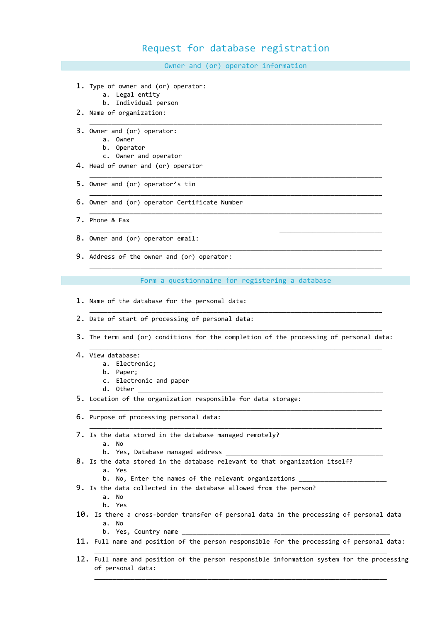## Request for database registration

Owner and (or) operator information

\_\_\_\_\_\_\_\_\_\_\_\_\_\_\_\_\_\_\_\_\_\_\_\_\_\_\_\_\_\_\_\_\_\_\_\_\_\_\_\_\_\_\_\_\_\_\_\_\_\_\_\_\_\_\_\_\_\_\_\_\_\_\_\_\_\_\_\_\_\_\_\_\_\_\_\_\_\_\_\_

\_\_\_\_\_\_\_\_\_\_\_\_\_\_\_\_\_\_\_\_\_\_\_\_\_\_\_\_\_\_\_\_\_\_\_\_\_\_\_\_\_\_\_\_\_\_\_\_\_\_\_\_\_\_\_\_\_\_\_\_\_\_\_\_\_\_\_\_\_\_\_\_\_\_\_\_\_\_\_\_

\_\_\_\_\_\_\_\_\_\_\_\_\_\_\_\_\_\_\_\_\_\_\_\_\_\_\_\_\_\_\_\_\_\_\_\_\_\_\_\_\_\_\_\_\_\_\_\_\_\_\_\_\_\_\_\_\_\_\_\_\_\_\_\_\_\_\_\_\_\_\_\_\_\_\_\_\_\_\_\_

\_\_\_\_\_\_\_\_\_\_\_\_\_\_\_\_\_\_\_\_\_\_\_\_\_\_\_\_\_\_\_\_\_\_\_\_\_\_\_\_\_\_\_\_\_\_\_\_\_\_\_\_\_\_\_\_\_\_\_\_\_\_\_\_\_\_\_\_\_\_\_\_\_\_\_\_\_\_\_\_

\_\_\_\_\_\_\_\_\_\_\_\_\_\_\_\_\_\_\_\_\_\_\_\_\_\_\_\_ \_\_\_\_\_\_\_\_\_\_\_\_\_\_\_\_\_\_\_\_\_\_\_\_\_\_\_\_

\_\_\_\_\_\_\_\_\_\_\_\_\_\_\_\_\_\_\_\_\_\_\_\_\_\_\_\_\_\_\_\_\_\_\_\_\_\_\_\_\_\_\_\_\_\_\_\_\_\_\_\_\_\_\_\_\_\_\_\_\_\_\_\_\_\_\_\_\_\_\_\_\_\_\_\_\_\_\_\_

\_\_\_\_\_\_\_\_\_\_\_\_\_\_\_\_\_\_\_\_\_\_\_\_\_\_\_\_\_\_\_\_\_\_\_\_\_\_\_\_\_\_\_\_\_\_\_\_\_\_\_\_\_\_\_\_\_\_\_\_\_\_\_\_\_\_\_\_\_\_\_\_\_\_\_\_\_\_\_\_

- 1. Type of owner and (or) operator:
	- a. Legal entity
	- b. Individual person
- 2. Name of organization:
- 3. Owner and (or) operator:
	- a. Owner
	- b. Operator
	- c. Owner and operator
- 4. Head of owner and (or) operator
- 5. Owner and (or) operator's tin
- 6. Owner and (or) operator Certificate Number
- 7. Phone & Fax
- 8. Owner and (or) operator email:
- 9. Address of the owner and (or) operator:

Form a questionnaire for registering a database

\_\_\_\_\_\_\_\_\_\_\_\_\_\_\_\_\_\_\_\_\_\_\_\_\_\_\_\_\_\_\_\_\_\_\_\_\_\_\_\_\_\_\_\_\_\_\_\_\_\_\_\_\_\_\_\_\_\_\_\_\_\_\_\_\_\_\_\_\_\_\_\_\_\_\_\_\_\_\_\_

- 1. Name of the database for the personal data:
- 2. Date of start of processing of personal data:
- \_\_\_\_\_\_\_\_\_\_\_\_\_\_\_\_\_\_\_\_\_\_\_\_\_\_\_\_\_\_\_\_\_\_\_\_\_\_\_\_\_\_\_\_\_\_\_\_\_\_\_\_\_\_\_\_\_\_\_\_\_\_\_\_\_\_\_\_\_\_\_\_\_\_\_\_\_\_\_\_ 3. The term and (or) conditions for the completion of the processing of personal data: \_\_\_\_\_\_\_\_\_\_\_\_\_\_\_\_\_\_\_\_\_\_\_\_\_\_\_\_\_\_\_\_\_\_\_\_\_\_\_\_\_\_\_\_\_\_\_\_\_\_\_\_\_\_\_\_\_\_\_\_\_\_\_\_\_\_\_\_\_\_\_\_\_\_\_\_\_\_\_\_

\_\_\_\_\_\_\_\_\_\_\_\_\_\_\_\_\_\_\_\_\_\_\_\_\_\_\_\_\_\_\_\_\_\_\_\_\_\_\_\_\_\_\_\_\_\_\_\_\_\_\_\_\_\_\_\_\_\_\_\_\_\_\_\_\_\_\_\_\_\_\_\_\_\_\_\_\_\_\_\_

\_\_\_\_\_\_\_\_\_\_\_\_\_\_\_\_\_\_\_\_\_\_\_\_\_\_\_\_\_\_\_\_\_\_\_\_\_\_\_\_\_\_\_\_\_\_\_\_\_\_\_\_\_\_\_\_\_\_\_\_\_\_\_\_\_\_\_\_\_\_\_\_\_\_\_\_\_\_\_\_

- 4. View database:
	- a. Electronic;
	- b. Paper;
	- c. Electronic and paper
	- d. Other
- 5. Location of the organization responsible for data storage:
- 6. Purpose of processing personal data:
- 7. Is the data stored in the database managed remotely?
	- a. No
	- b. Yes, Database managed address
- 8. Is the data stored in the database relevant to that organization itself? a. Yes
	- b. No, Enter the names of the relevant organizations
- 9. Is the data collected in the database allowed from the person?
	- a. No
	- b. Yes
- 10. Is there a cross-border transfer of personal data in the processing of personal data a. No
	- b. Yes, Country name
- 11. Full name and position of the person responsible for the processing of personal data: \_\_\_\_\_\_\_\_\_\_\_\_\_\_\_\_\_\_\_\_\_\_\_\_\_\_\_\_\_\_\_\_\_\_\_\_\_\_\_\_\_\_\_\_\_\_\_\_\_\_\_\_\_\_\_\_\_\_\_\_\_\_\_\_\_\_\_\_\_\_\_\_\_\_\_\_\_\_\_\_
- 12. Full name and position of the person responsible information system for the processing of personal data: \_\_\_\_\_\_\_\_\_\_\_\_\_\_\_\_\_\_\_\_\_\_\_\_\_\_\_\_\_\_\_\_\_\_\_\_\_\_\_\_\_\_\_\_\_\_\_\_\_\_\_\_\_\_\_\_\_\_\_\_\_\_\_\_\_\_\_\_\_\_\_\_\_\_\_\_\_\_\_\_